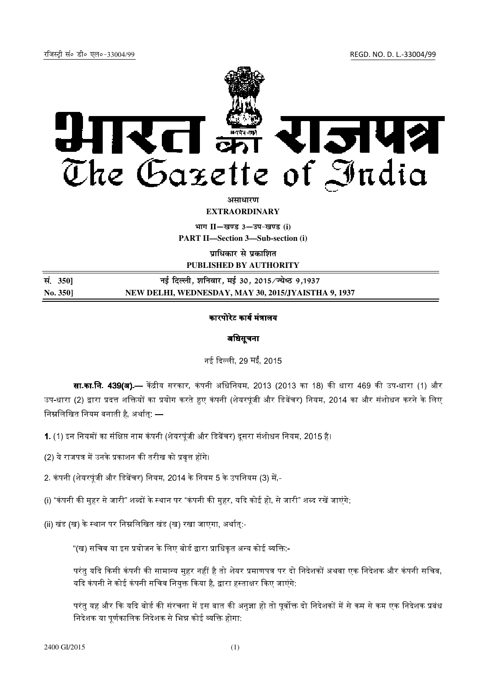रजिस्ट्री सं० डी० एल०-33004/99 *REGD. NO. D. L.-33004/99* 



असाधार**ण** 

**EXTRAORDINARY**

 $\lim_{x \to \infty} \frac{1}{1 - \frac{1}{x}}$  and  $\lim_{x \to \infty} \frac{1}{1 - \frac{1}{x}}$ 

**PART II—Section 3—Sub-section (i)** 

**प्राधिकार से प्रकाशित** 

**PUBLISHED BY AUTHORITY**

| सं. 3501 | नई दिल्ली, शनिवार, मई 30, 2015/ज्येष्ठ 9,1937       |
|----------|-----------------------------------------------------|
| No. 350] | NEW DELHI, WEDNESDAY, MAY 30, 2015/JYAISTHA 9, 1937 |

## कारपोरेट कार्य मंत्रालय

## अधिसूचना

नई दिल्ली, 29 मईं, 2015

**सा.का.नि. 439(अ).**— केंद्रीय सरकार. कंपनी अधिनियम. 2013 (2013 का 18) की धारा 469 की उप-धारा (1) और उप-धारा (2) द्वारा प्रदत्त शक्तियों का प्रयोग करते हुए कंपनी (शेयरपंजी और डिबेंचर) नियम. 2014 का और संशोधन करने के लिए निम्नलिखित नियम बनाती है, अर्थात्: —

- 1. (1) इन नियमों का संक्षिप्त नाम कंपनी (शेयरपुंजी और डिबेंचर) दुसरा संशोधन नियम. 2015 है।
- (2) ये राजपत्र में उनके प्रकाशन की तरीख को प्रवत्त होंगे।
- 2. कंपनी (शेयरपंजी और डिबेंचर) नियम. 2014 के नियम 5 के उपनियम (3) में.-
- (i) "कंपनी की महर से जारी" शब्दों के स्थान पर "कंपनी की महर. यदि कोई हो. से जारी" शब्द रखें जाएंगे:
- (ii) खंड (ख) के स्थान पर निम्नलिखित खंड (ख) रखा जाएगा, अर्थात:-
	- "(ख) सचिव या इस प्रयोजन के लिए बोर्ड द्वारा प्राधिकत अन्य कोई व्यक्ति:--

परंतु यदि किसी कंपनी की सामान्य मुहर नहीं है तो शेयर प्रमाणपत्र पर दो निदेशकों अथवा एक निदेशक और कंपनी सचिव, यदि कंपनी ने कोई कंपनी सचिव नियक्त किया है. द्वारा हस्ताक्षर किए जाएंगे.

परंत यह और कि यदि बोर्ड की संरचना में इस बात की अनजा हो तो पर्वोक्त दो निदेशकों में से कम से कम एक निदेशक प्रबंध निदेशक या पर्णकालिक निदेशक से भिन्न कोई व्यक्ति होगा: